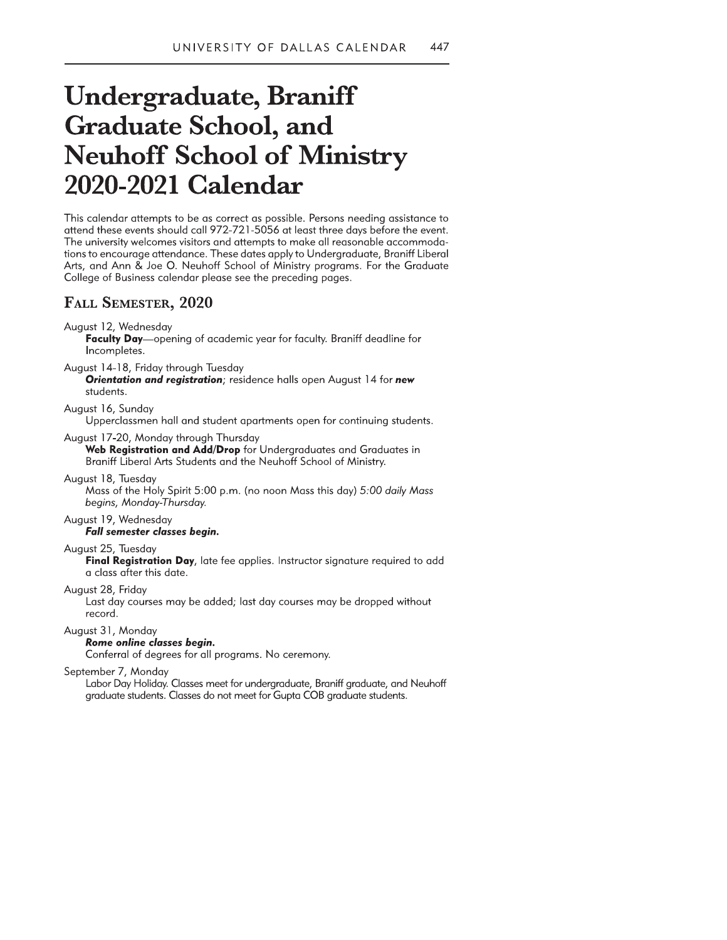# UNIVERSITY OF DALLAS CALENDAR 447<br>
Undergraduate, Braniff<br>
Graduate School, and<br>
Neuhoff School of Ministry<br>
2020-2021 Calendar<br>
This calendar<br>
This charge the secret a possible Person needing assistance to<br>
This calendar

tions to encourage attendance. These dates apply to Undergraduate, Braniff Liberal Arts, and Ann & Joe O. Neuhoff School of Ministry programs. For the Graduate College of Business calendar please see the preceding pages.

# FALL SEMESTER, 2020

# August 12, Wednesday

Faculty Day-opening of academic year for faculty. Braniff deadline for Incompletes.

August 14-18, Friday through Tuesday

**Orientation and registration**; residence halls open August 14 for new students.

# August 16, Sunday

Upperclassmen hall and student apartments open for continuing students.

# August 17-20, Monday through Thursday

Web Registration and Add/Drop for Undergraduates and Graduates in Braniff Liberal Arts Students and the Neuhoff School of Ministry.

### August 18, Tuesday

Mass of the Holy Spirit 5:00 p.m. (no noon Mass this day) 5:00 daily Mass begins, Monday-Thursday.

### August 19, Wednesday Fall semester classes begin.

### August 25, Tuesday

Final Registration Day, late fee applies. Instructor signature required to add a class after this date.

### August 28, Friday

Last day courses may be added; last day courses may be dropped without record

### August 31, Monday

# Rome online classes begin.

Conferral of degrees for all programs. No ceremony.

### September 7, Monday

Labor Day Holiday. Classes meet for undergraduate, Braniff graduate, and Neuhoff graduate students. Classes do not meet for Gupta COB graduate students.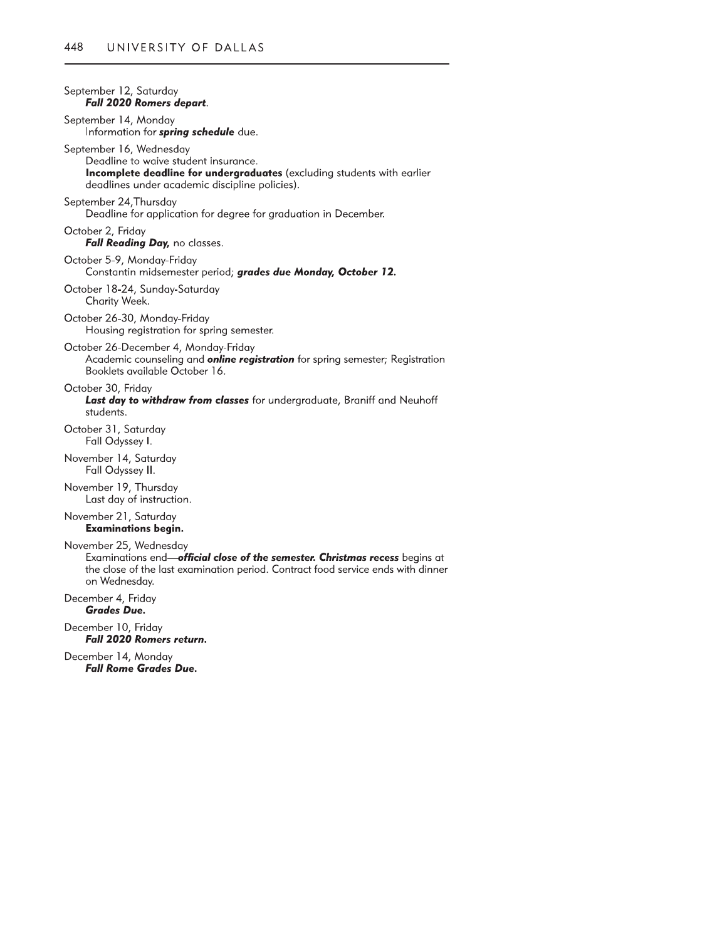| September 12, Saturday<br><b>Fall 2020 Romers depart.</b>                                                                                                                                                  |
|------------------------------------------------------------------------------------------------------------------------------------------------------------------------------------------------------------|
| September 14, Monday<br>Information for <i>spring</i> schedule due.                                                                                                                                        |
| September 16, Wednesday<br>Deadline to waive student insurance.<br>Incomplete deadline for undergraduates (excluding students with earlier<br>deadlines under academic discipline policies).               |
| September 24,Thursday<br>Deadline for application for degree for graduation in December.                                                                                                                   |
| October 2, Friday<br>Fall Reading Day, no classes.                                                                                                                                                         |
| October 5-9, Monday-Friday<br>Constantin midsemester period; grades due Monday, October 12.                                                                                                                |
| October 18-24, Sunday-Saturday<br>Charity Week.                                                                                                                                                            |
| October 26-30, Monday-Friday<br>Housing registration for spring semester.                                                                                                                                  |
| October 26-December 4, Monday-Friday<br>Academic counseling and <b>online registration</b> for spring semester; Registration<br>Booklets available October 16.                                             |
| October 30, Friday<br>Last day to withdraw from classes for undergraduate, Braniff and Neuhoff<br>students.                                                                                                |
| October 31, Saturday<br>Fall Odyssey I.                                                                                                                                                                    |
| November 14, Saturday<br>Fall Odyssey II.                                                                                                                                                                  |
| November 19, Thursday<br>Last day of instruction.                                                                                                                                                          |
| November 21, Saturday<br><b>Examinations begin.</b>                                                                                                                                                        |
| November 25, Wednesday<br>Examinations end-official close of the semester. Christmas recess begins at<br>the close of the last examination period. Contract food service ends with dinner<br>on Wednesday. |
| December 4, Friday<br><b>Grades Due.</b>                                                                                                                                                                   |
| December 10, Friday<br><b>Fall 2020 Romers return.</b>                                                                                                                                                     |
| December 14, Monday<br>Fall Rome Grades Due.                                                                                                                                                               |
|                                                                                                                                                                                                            |
|                                                                                                                                                                                                            |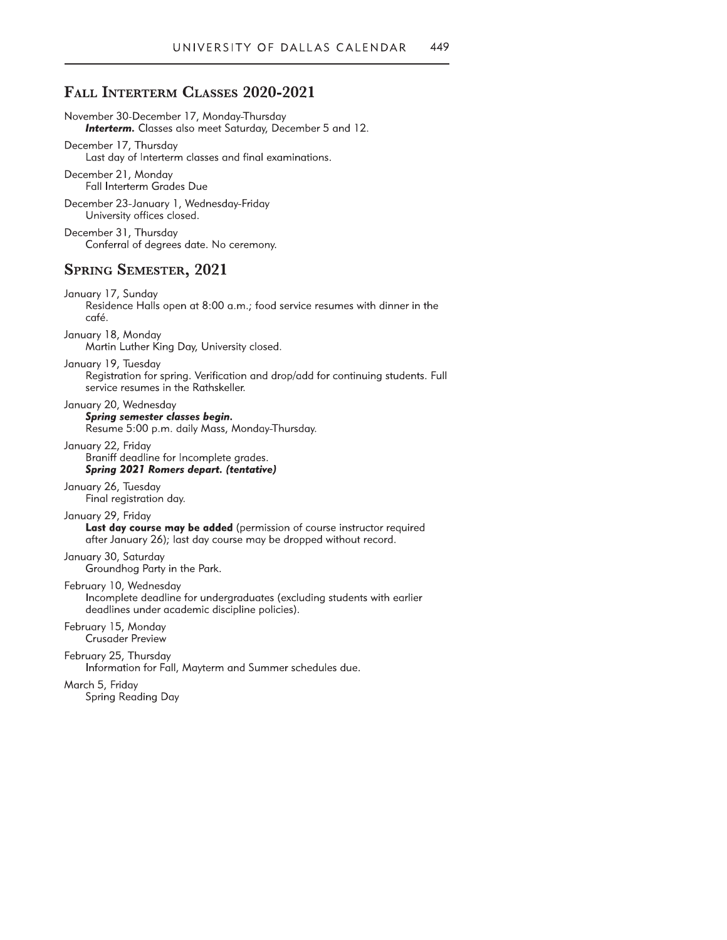# FALL INTERTERM CLASSES 2020-2021

November 30-December 17, Monday-Thursday **Interterm.** Classes also meet Saturday, December 5 and 12.

December 17, Thursday Last day of Interterm classes and final examinations.

December 21, Monday Fall Interterm Grades Due

December 23-January 1, Wednesday-Friday University offices closed.

December 31, Thursday Conferral of degrees date. No ceremony.

# **SPRING SEMESTER, 2021**

January 17, Sunday Residence Halls open at 8:00 a.m.; food service resumes with dinner in the café.

January 18, Monday Martin Luther King Day, University closed.

January 19, Tuesday Registration for spring. Verification and drop/add for continuing students. Full service resumes in the Rathskeller.

January 20, Wednesday Spring semester classes begin. Resume 5:00 p.m. daily Mass, Monday-Thursday.

January 22, Friday Braniff deadline for Incomplete grades. **Spring 2021 Romers depart. (tentative)** 

January 26, Tuesday Final registration day.

January 29, Friday Last day course may be added (permission of course instructor required after January 26); last day course may be dropped without record.

January 30, Saturday Groundhog Party in the Park.

February 10, Wednesday Incomplete deadline for undergraduates (excluding students with earlier deadlines under academic discipline policies).

February 15, Monday **Crusader Preview** 

February 25, Thursday Information for Fall, Mayterm and Summer schedules due.

March 5, Friday Spring Reading Day